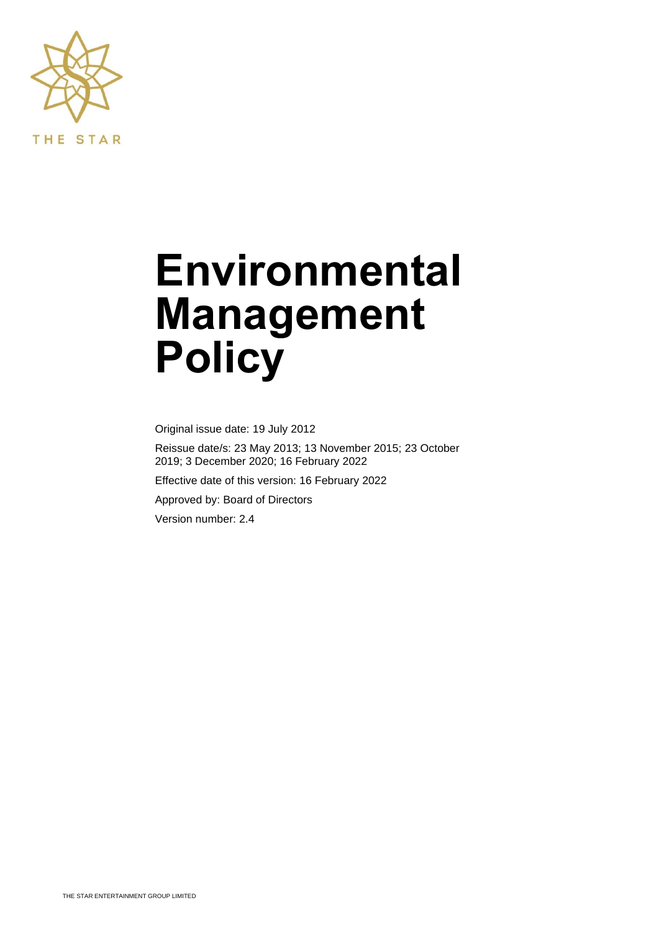

# **Environmental Management Policy**

Original issue date: 19 July 2012

Reissue date/s: 23 May 2013; 13 November 2015; 23 October 2019; 3 December 2020; 16 February 2022

Effective date of this version: 16 February 2022

Approved by: Board of Directors

Version number: 2.4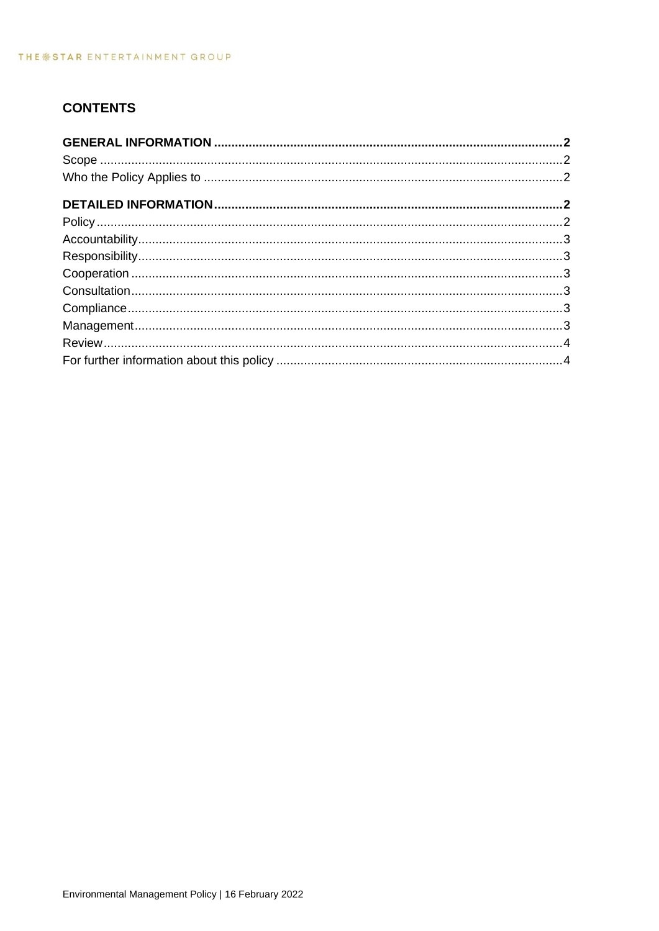# **CONTENTS**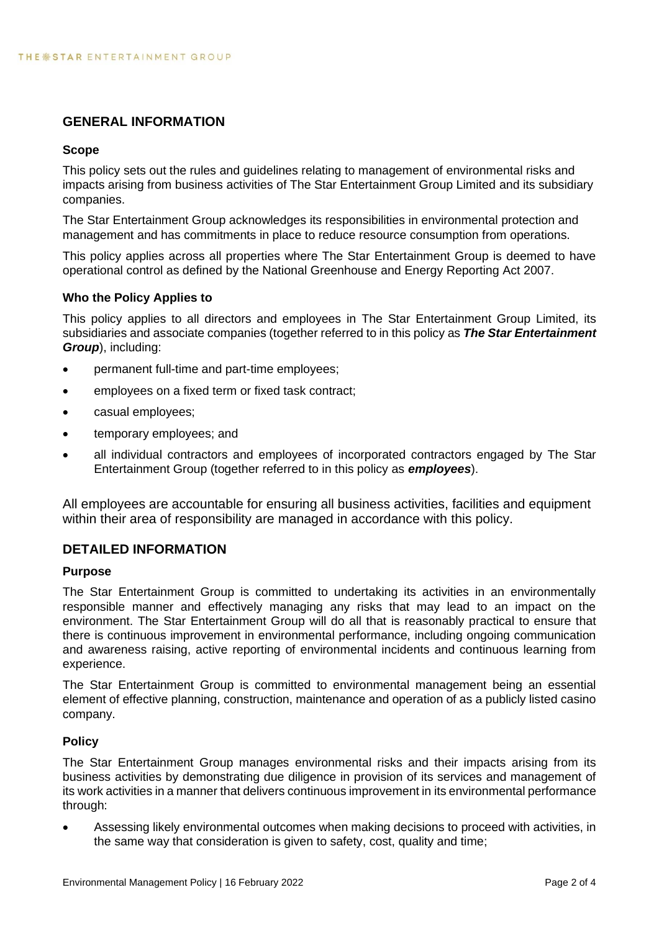## <span id="page-2-0"></span>**GENERAL INFORMATION**

#### <span id="page-2-1"></span>**Scope**

This policy sets out the rules and guidelines relating to management of environmental risks and impacts arising from business activities of The Star Entertainment Group Limited and its subsidiary companies.

The Star Entertainment Group acknowledges its responsibilities in environmental protection and management and has commitments in place to reduce resource consumption from operations.

This policy applies across all properties where The Star Entertainment Group is deemed to have operational control as defined by the National Greenhouse and Energy Reporting Act 2007.

#### <span id="page-2-2"></span>**Who the Policy Applies to**

This policy applies to all directors and employees in The Star Entertainment Group Limited, its subsidiaries and associate companies (together referred to in this policy as *The Star Entertainment Group*), including:

- permanent full-time and part-time employees;
- employees on a fixed term or fixed task contract;
- casual employees;
- temporary employees; and
- all individual contractors and employees of incorporated contractors engaged by The Star Entertainment Group (together referred to in this policy as *employees*).

<span id="page-2-3"></span>All employees are accountable for ensuring all business activities, facilities and equipment within their area of responsibility are managed in accordance with this policy.

#### **DETAILED INFORMATION**

#### **Purpose**

The Star Entertainment Group is committed to undertaking its activities in an environmentally responsible manner and effectively managing any risks that may lead to an impact on the environment. The Star Entertainment Group will do all that is reasonably practical to ensure that there is continuous improvement in environmental performance, including ongoing communication and awareness raising, active reporting of environmental incidents and continuous learning from experience.

The Star Entertainment Group is committed to environmental management being an essential element of effective planning, construction, maintenance and operation of as a publicly listed casino company.

#### <span id="page-2-4"></span>**Policy**

The Star Entertainment Group manages environmental risks and their impacts arising from its business activities by demonstrating due diligence in provision of its services and management of its work activities in a manner that delivers continuous improvement in its environmental performance through:

• Assessing likely environmental outcomes when making decisions to proceed with activities, in the same way that consideration is given to safety, cost, quality and time;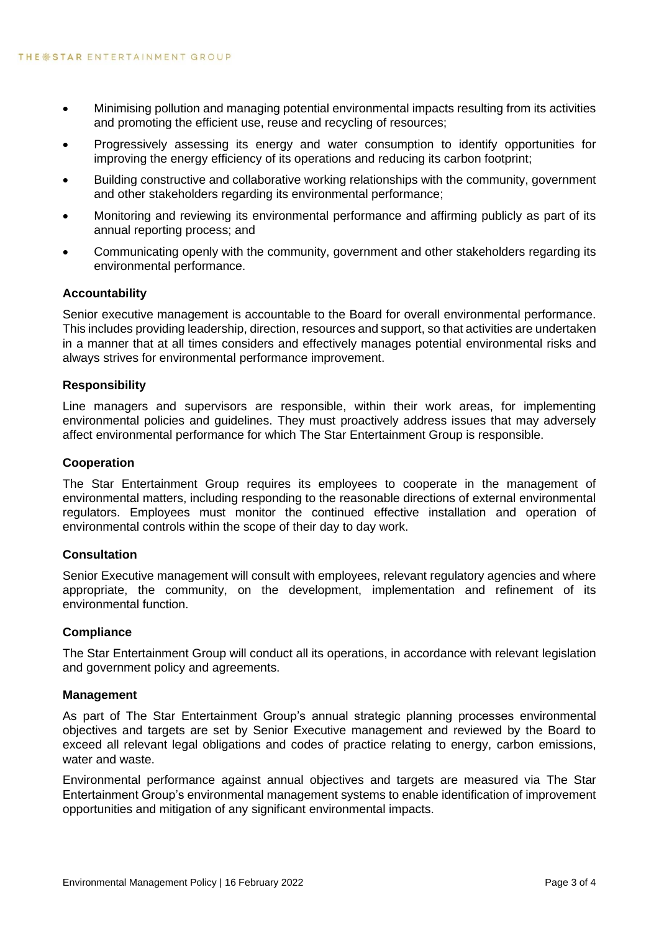- Minimising pollution and managing potential environmental impacts resulting from its activities and promoting the efficient use, reuse and recycling of resources;
- Progressively assessing its energy and water consumption to identify opportunities for improving the energy efficiency of its operations and reducing its carbon footprint;
- Building constructive and collaborative working relationships with the community, government and other stakeholders regarding its environmental performance:
- Monitoring and reviewing its environmental performance and affirming publicly as part of its annual reporting process; and
- Communicating openly with the community, government and other stakeholders regarding its environmental performance.

#### <span id="page-3-0"></span>**Accountability**

Senior executive management is accountable to the Board for overall environmental performance. This includes providing leadership, direction, resources and support, so that activities are undertaken in a manner that at all times considers and effectively manages potential environmental risks and always strives for environmental performance improvement.

#### <span id="page-3-1"></span>**Responsibility**

Line managers and supervisors are responsible, within their work areas, for implementing environmental policies and guidelines. They must proactively address issues that may adversely affect environmental performance for which The Star Entertainment Group is responsible.

#### <span id="page-3-2"></span>**Cooperation**

The Star Entertainment Group requires its employees to cooperate in the management of environmental matters, including responding to the reasonable directions of external environmental regulators. Employees must monitor the continued effective installation and operation of environmental controls within the scope of their day to day work.

#### <span id="page-3-3"></span>**Consultation**

Senior Executive management will consult with employees, relevant regulatory agencies and where appropriate, the community, on the development, implementation and refinement of its environmental function.

#### <span id="page-3-4"></span>**Compliance**

The Star Entertainment Group will conduct all its operations, in accordance with relevant legislation and government policy and agreements.

#### <span id="page-3-5"></span>**Management**

As part of The Star Entertainment Group's annual strategic planning processes environmental objectives and targets are set by Senior Executive management and reviewed by the Board to exceed all relevant legal obligations and codes of practice relating to energy, carbon emissions, water and waste.

Environmental performance against annual objectives and targets are measured via The Star Entertainment Group's environmental management systems to enable identification of improvement opportunities and mitigation of any significant environmental impacts.